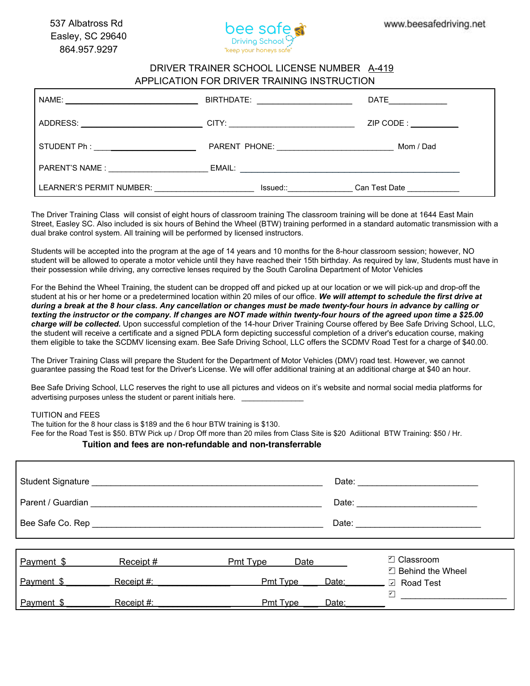

## DRIVER TRAINER SCHOOL LICENSE NUMBER A-419 APPLICATION FOR DRIVER TRAINING INSTRUCTION

|                          |                                             | $\mathsf{DATE}$                       |
|--------------------------|---------------------------------------------|---------------------------------------|
|                          |                                             | $ZIP$ CODE : $\_\_\_\_\_\_\_\_\_\_\_$ |
|                          | PARENT PHONE: <u>______________________</u> | Mom / Dad                             |
| <b>PARENT'S NAME:</b>    |                                             |                                       |
| LEARNER'S PERMIT NUMBER: |                                             | Can Test Date <b>Canada</b>           |

The Driver Training Class will consist of eight hours of classroom training The classroom training will be done at 1644 East Main Street, Easley SC. Also included is six hours of Behind the Wheel (BTW) training performed in a standard automatic transmission with a dual brake control system. All training will be performed by licensed instructors.

Students will be accepted into the program at the age of 14 years and 10 months for the 8-hour classroom session; however, NO student will be allowed to operate a motor vehicle until they have reached their 15th birthday. As required by law, Students must have in their possession while driving, any corrective lenses required by the South Carolina Department of Motor Vehicles

For the Behind the Wheel Training, the student can be dropped off and picked up at our location or we will pick-up and drop-off the student at his or her home or a predetermined location within 20 miles of our office. *We will attempt to schedule the first drive at during a break at the 8 hour class. Any cancellation or changes must be made twenty-four hours in advance by calling or texting the instructor or the company. If changes are NOT made within twenty-four hours of the agreed upon time a \$25.00 charge will be collected.* Upon successful completion of the 14-hour Driver Training Course offered by Bee Safe Driving School, LLC, the student will receive a certificate and a signed PDLA form depicting successful completion of a driver's education course, making them eligible to take the SCDMV licensing exam. Bee Safe Driving School, LLC offers the SCDMV Road Test for a charge of \$40.00.

The Driver Training Class will prepare the Student for the Department of Motor Vehicles (DMV) road test. However, we cannot guarantee passing the Road test for the Driver's License. We will offer additional training at an additional charge at \$40 an hour.

Bee Safe Driving School, LLC reserves the right to use all pictures and videos on it's website and normal social media platforms for advertising purposes unless the student or parent initials here. \_\_\_\_\_\_\_\_\_\_\_\_\_\_\_

## TUITION and FEES

The tuition for the 8 hour class is \$180 and the 6 hour BTW training is \$120. The tuition for the 8 hour class is \$189 and the 6 hour BTW training is \$130.

Fee for the Road Test is \$50. BTW Pick up / Drop Off more than 20 miles from Class Site is \$20 Adiitional BTW Training: \$50 / Hr.

## Tuition and fees are non-refundable and non-transferrable

|            | Student Signature Management Control of the Student Signature Management Control of the Student Control of the |          |                   |  | Date: the contract of the contract of the contract of the contract of the contract of the contract of the contract of the contract of the contract of the contract of the contract of the contract of the contract of the cont |  |
|------------|----------------------------------------------------------------------------------------------------------------|----------|-------------------|--|--------------------------------------------------------------------------------------------------------------------------------------------------------------------------------------------------------------------------------|--|
|            |                                                                                                                |          |                   |  |                                                                                                                                                                                                                                |  |
|            |                                                                                                                |          |                   |  |                                                                                                                                                                                                                                |  |
|            |                                                                                                                |          |                   |  |                                                                                                                                                                                                                                |  |
| Payment \$ | Receipt #                                                                                                      | Pmt Type | Date              |  | ☑ Classroom                                                                                                                                                                                                                    |  |
| Payment \$ | Receipt #:                                                                                                     |          | Pmt Type<br>Date: |  | $\Box$ Behind the Wheel<br><b>□</b> Road Test                                                                                                                                                                                  |  |
| Payment \$ | Receipt #:                                                                                                     | Pmt Type | Date:             |  | $\blacktriangledown$                                                                                                                                                                                                           |  |